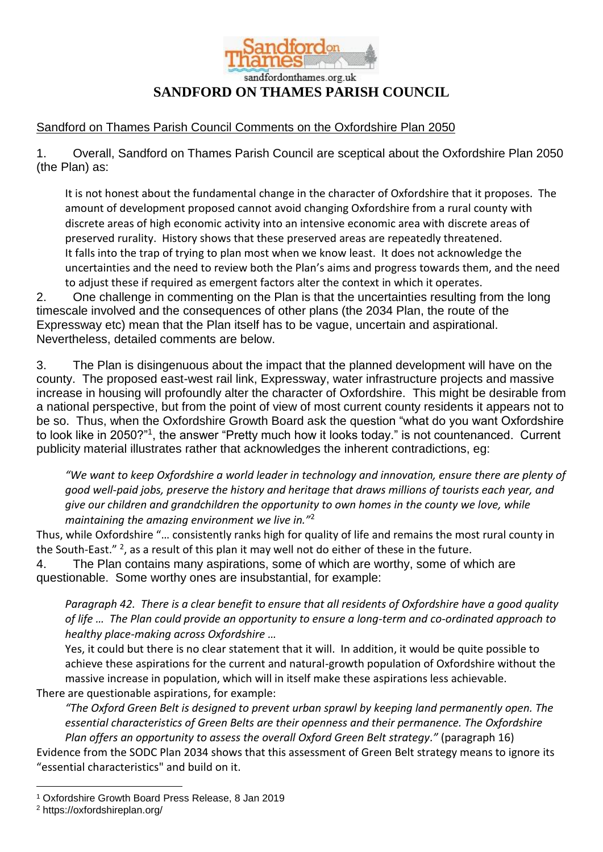

## sandfordonthames.org.uk **SANDFORD ON THAMES PARISH COUNCIL**

## Sandford on Thames Parish Council Comments on the Oxfordshire Plan 2050

1. Overall, Sandford on Thames Parish Council are sceptical about the Oxfordshire Plan 2050 (the Plan) as:

It is not honest about the fundamental change in the character of Oxfordshire that it proposes. The amount of development proposed cannot avoid changing Oxfordshire from a rural county with discrete areas of high economic activity into an intensive economic area with discrete areas of preserved rurality. History shows that these preserved areas are repeatedly threatened. It falls into the trap of trying to plan most when we know least. It does not acknowledge the uncertainties and the need to review both the Plan's aims and progress towards them, and the need to adjust these if required as emergent factors alter the context in which it operates.

2. One challenge in commenting on the Plan is that the uncertainties resulting from the long timescale involved and the consequences of other plans (the 2034 Plan, the route of the Expressway etc) mean that the Plan itself has to be vague, uncertain and aspirational. Nevertheless, detailed comments are below.

3. The Plan is disingenuous about the impact that the planned development will have on the county. The proposed east-west rail link, Expressway, water infrastructure projects and massive increase in housing will profoundly alter the character of Oxfordshire. This might be desirable from a national perspective, but from the point of view of most current county residents it appears not to be so. Thus, when the Oxfordshire Growth Board ask the question "what do you want Oxfordshire to look like in 2050?"<sup>1</sup>, the answer "Pretty much how it looks today." is not countenanced. Current publicity material illustrates rather that acknowledges the inherent contradictions, eg:

*"We want to keep Oxfordshire a world leader in technology and innovation, ensure there are plenty of good well-paid jobs, preserve the history and heritage that draws millions of tourists each year, and give our children and grandchildren the opportunity to own homes in the county we love, while maintaining the amazing environment we live in."*<sup>2</sup>

Thus, while Oxfordshire "… consistently ranks high for quality of life and remains the most rural county in the South-East." <sup>2</sup>, as a result of this plan it may well not do either of these in the future.

4. The Plan contains many aspirations, some of which are worthy, some of which are questionable. Some worthy ones are insubstantial, for example:

*Paragraph 42. There is a clear benefit to ensure that all residents of Oxfordshire have a good quality of life … The Plan could provide an opportunity to ensure a long-term and co-ordinated approach to healthy place-making across Oxfordshire …*

Yes, it could but there is no clear statement that it will. In addition, it would be quite possible to achieve these aspirations for the current and natural-growth population of Oxfordshire without the massive increase in population, which will in itself make these aspirations less achievable.

There are questionable aspirations, for example:

*"The Oxford Green Belt is designed to prevent urban sprawl by keeping land permanently open. The essential characteristics of Green Belts are their openness and their permanence. The Oxfordshire Plan offers an opportunity to assess the overall Oxford Green Belt strategy."* (paragraph 16)

Evidence from the SODC Plan 2034 shows that this assessment of Green Belt strategy means to ignore its "essential characteristics" and build on it.

<sup>&</sup>lt;u>.</u> <sup>1</sup> Oxfordshire Growth Board Press Release, 8 Jan 2019

<sup>2</sup> https://oxfordshireplan.org/